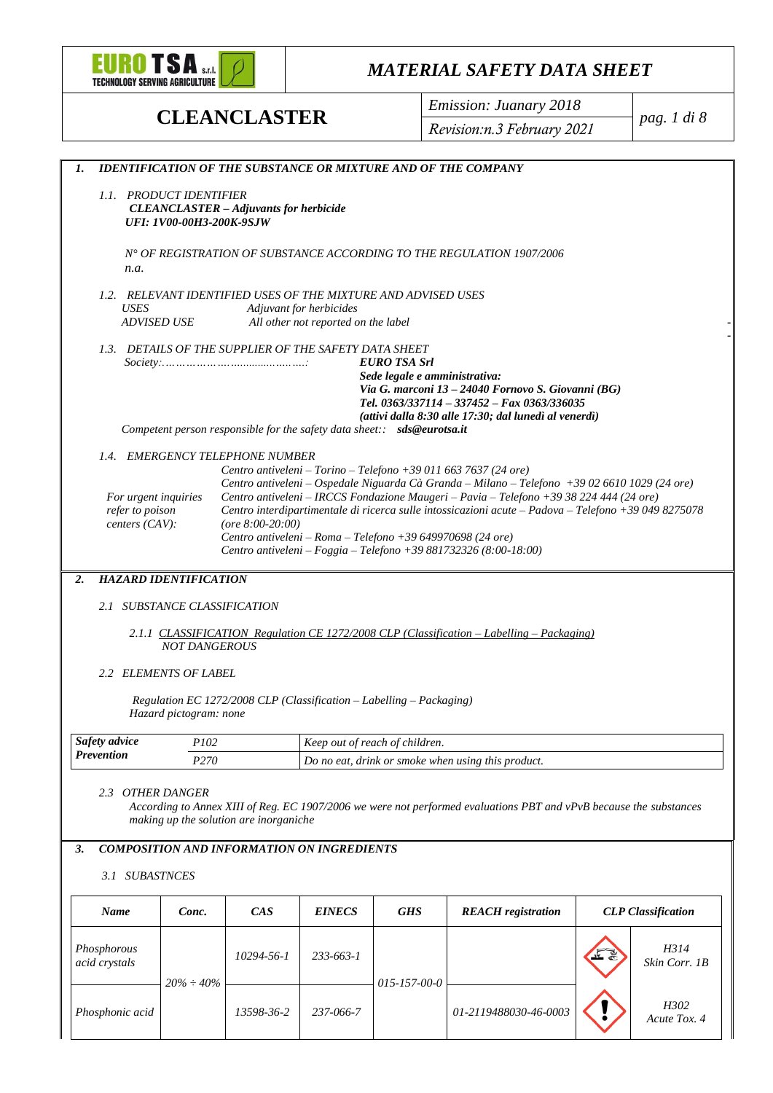

**CLEANCLASTER** *Emission: Juanary 2018 Revision:n.3 February 2021*

*pag. 1 di 8*

| 1.                   |                              |                                                                                                                                                  |                                     |                                                                         | <b>IDENTIFICATION OF THE SUBSTANCE OR MIXTURE AND OF THE COMPANY</b>                                                                                                                     |                           |
|----------------------|------------------------------|--------------------------------------------------------------------------------------------------------------------------------------------------|-------------------------------------|-------------------------------------------------------------------------|------------------------------------------------------------------------------------------------------------------------------------------------------------------------------------------|---------------------------|
|                      | 1.1. PRODUCT IDENTIFIER      |                                                                                                                                                  |                                     |                                                                         |                                                                                                                                                                                          |                           |
|                      |                              | <b>CLEANCLASTER</b> - Adjuvants for herbicide                                                                                                    |                                     |                                                                         |                                                                                                                                                                                          |                           |
|                      | UFI: 1V00-00H3-200K-9SJW     |                                                                                                                                                  |                                     |                                                                         |                                                                                                                                                                                          |                           |
|                      |                              |                                                                                                                                                  |                                     |                                                                         | N° OF REGISTRATION OF SUBSTANCE ACCORDING TO THE REGULATION 1907/2006                                                                                                                    |                           |
| n.a.                 |                              |                                                                                                                                                  |                                     |                                                                         |                                                                                                                                                                                          |                           |
|                      |                              |                                                                                                                                                  |                                     |                                                                         |                                                                                                                                                                                          |                           |
| USES                 |                              |                                                                                                                                                  | Adjuvant for herbicides             | 1.2. RELEVANT IDENTIFIED USES OF THE MIXTURE AND ADVISED USES           |                                                                                                                                                                                          |                           |
|                      | <b>ADVISED USE</b>           |                                                                                                                                                  | All other not reported on the label |                                                                         |                                                                                                                                                                                          |                           |
|                      |                              |                                                                                                                                                  |                                     |                                                                         |                                                                                                                                                                                          |                           |
|                      |                              | 1.3. DETAILS OF THE SUPPLIER OF THE SAFETY DATA SHEET<br>$Society: \ldots \ldots \ldots \ldots \ldots \ldots \ldots \ldots \ldots \ldots \ldots$ |                                     | <b>EURO TSA Srl</b>                                                     |                                                                                                                                                                                          |                           |
|                      |                              |                                                                                                                                                  |                                     | Sede legale e amministrativa:                                           |                                                                                                                                                                                          |                           |
|                      |                              |                                                                                                                                                  |                                     |                                                                         | Via G. marconi 13 - 24040 Fornovo S. Giovanni (BG)<br>Tel. 0363/337114 - 337452 - Fax 0363/336035                                                                                        |                           |
|                      |                              |                                                                                                                                                  |                                     |                                                                         | (attivi dalla 8:30 alle 17:30; dal lunedì al venerdì)                                                                                                                                    |                           |
|                      |                              |                                                                                                                                                  |                                     | Competent person responsible for the safety data sheet:: sds@eurotsa.it |                                                                                                                                                                                          |                           |
|                      |                              | 1.4. EMERGENCY TELEPHONE NUMBER                                                                                                                  |                                     |                                                                         |                                                                                                                                                                                          |                           |
|                      |                              |                                                                                                                                                  |                                     |                                                                         | Centro antiveleni - Torino - Telefono +39 011 663 7637 (24 ore)                                                                                                                          |                           |
| For urgent inquiries |                              |                                                                                                                                                  |                                     |                                                                         | Centro antiveleni – Ospedale Niguarda Cà Granda – Milano – Telefono +39 02 6610 1029 (24 ore)<br>Centro antiveleni - IRCCS Fondazione Maugeri - Pavia - Telefono +39 38 224 444 (24 ore) |                           |
| refer to poison      |                              |                                                                                                                                                  |                                     |                                                                         | Centro interdipartimentale di ricerca sulle intossicazioni acute - Padova - Telefono +39 049 8275078                                                                                     |                           |
| centers $(CAV)$ :    |                              | (ore $8:00-20:00$ )                                                                                                                              |                                     |                                                                         |                                                                                                                                                                                          |                           |
|                      |                              |                                                                                                                                                  |                                     | Centro antiveleni – Roma – Telefono +39 649970698 (24 ore)              | Centro antiveleni - Foggia - Telefono +39 881732326 (8:00-18:00)                                                                                                                         |                           |
|                      |                              |                                                                                                                                                  |                                     |                                                                         |                                                                                                                                                                                          |                           |
| 2.                   | <b>HAZARD IDENTIFICATION</b> |                                                                                                                                                  |                                     |                                                                         |                                                                                                                                                                                          |                           |
|                      | 2.1 SUBSTANCE CLASSIFICATION |                                                                                                                                                  |                                     |                                                                         |                                                                                                                                                                                          |                           |
|                      |                              |                                                                                                                                                  |                                     |                                                                         | 2.1.1 CLASSIFICATION Regulation CE 1272/2008 CLP (Classification – Labelling – Packaging)                                                                                                |                           |
|                      | <b>NOT DANGEROUS</b>         |                                                                                                                                                  |                                     |                                                                         |                                                                                                                                                                                          |                           |
|                      |                              |                                                                                                                                                  |                                     |                                                                         |                                                                                                                                                                                          |                           |
|                      | 2.2 ELEMENTS OF LABEL        |                                                                                                                                                  |                                     |                                                                         |                                                                                                                                                                                          |                           |
|                      |                              |                                                                                                                                                  |                                     | Regulation EC 1272/2008 CLP (Classification - Labelling - Packaging)    |                                                                                                                                                                                          |                           |
|                      | Hazard pictogram: none       |                                                                                                                                                  |                                     |                                                                         |                                                                                                                                                                                          |                           |
| Safety advice        | P102                         |                                                                                                                                                  |                                     | Keep out of reach of children.                                          |                                                                                                                                                                                          |                           |
| <b>Prevention</b>    | P <sub>270</sub>             |                                                                                                                                                  |                                     |                                                                         | Do no eat, drink or smoke when using this product.                                                                                                                                       |                           |
|                      |                              |                                                                                                                                                  |                                     |                                                                         |                                                                                                                                                                                          |                           |
| 2.3 OTHER DANGER     |                              |                                                                                                                                                  |                                     |                                                                         |                                                                                                                                                                                          |                           |
|                      |                              | making up the solution are inorganiche                                                                                                           |                                     |                                                                         | According to Annex XIII of Reg. EC 1907/2006 we were not performed evaluations PBT and vPvB because the substances                                                                       |                           |
|                      |                              |                                                                                                                                                  |                                     |                                                                         |                                                                                                                                                                                          |                           |
| 3.                   |                              | <b>COMPOSITION AND INFORMATION ON INGREDIENTS</b>                                                                                                |                                     |                                                                         |                                                                                                                                                                                          |                           |
| 3.1 SUBASTNCES       |                              |                                                                                                                                                  |                                     |                                                                         |                                                                                                                                                                                          |                           |
| Name                 | Conc.                        | CAS                                                                                                                                              | <i><b>EINECS</b></i>                | <b>GHS</b>                                                              | <b>REACH</b> registration                                                                                                                                                                | <b>CLP</b> Classification |
| Phosphorous          |                              | 10294-56-1                                                                                                                                       | 233-663-1                           |                                                                         |                                                                                                                                                                                          | H314                      |
| acid crystals        |                              |                                                                                                                                                  |                                     |                                                                         |                                                                                                                                                                                          | Skin Corr. 1B             |
|                      | $20\% \div 40\%$             |                                                                                                                                                  |                                     | $015 - 157 - 00 - 0$                                                    |                                                                                                                                                                                          |                           |
| Phosphonic acid      |                              | 13598-36-2                                                                                                                                       | 237-066-7                           |                                                                         | 01-2119488030-46-0003                                                                                                                                                                    | H302                      |
|                      |                              |                                                                                                                                                  |                                     |                                                                         |                                                                                                                                                                                          | Acute Tox. 4              |
|                      |                              |                                                                                                                                                  |                                     |                                                                         |                                                                                                                                                                                          |                           |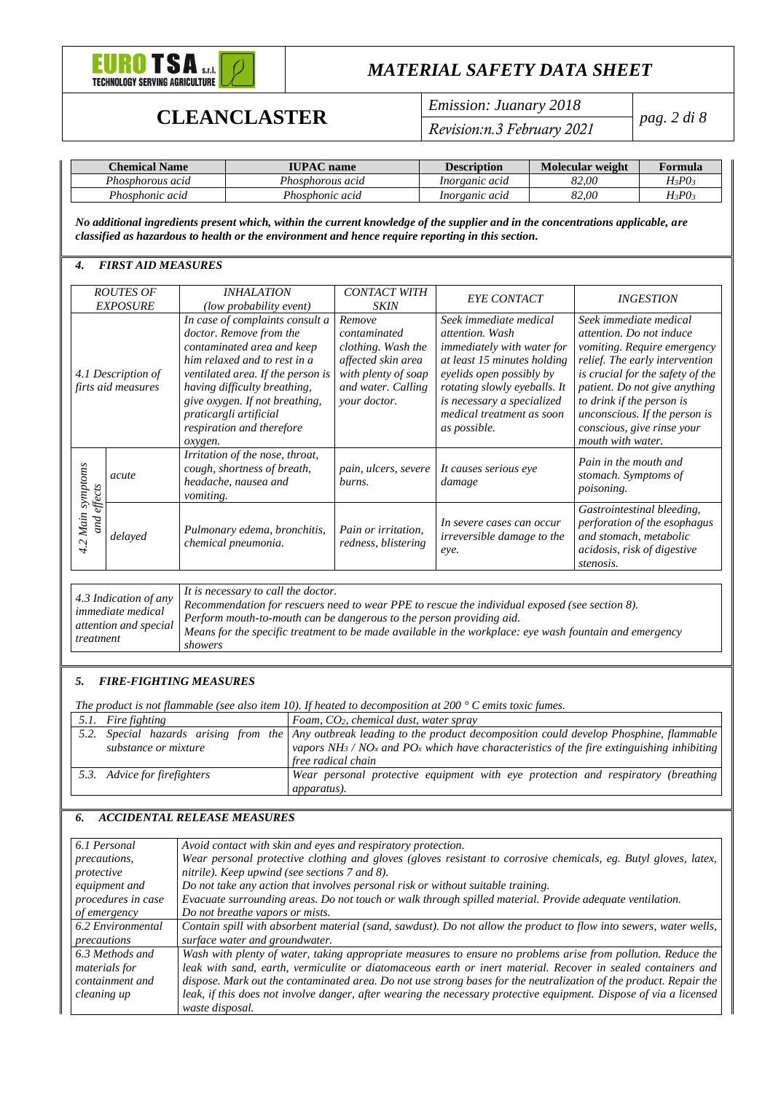

# **CLEANCLASTER** *Emission: Juanary 2018*

*Revision:n.3 February 2021*

*pag. 2 di 8*

| Chemical Name    | <b>IUPAC</b> name | <b>Description</b> | Molecular weight | Formula   |
|------------------|-------------------|--------------------|------------------|-----------|
| Phosphorous acid | Phosphorous acid  | Inorganic acid     | 82.00            | H3P03     |
| Phosphonic acid  | Phosphonic acid   | Inorganic acid     | 82.00            | $H_3PO_3$ |

*No additional ingredients present which, within the current knowledge of the supplier and in the concentrations applicable, are classified as hazardous to health or the environment and hence require reporting in this section.*

### *4. FIRST AID MEASURES*

|                            | <b>ROUTES OF</b><br><b>EXPOSURE</b>      | <i><b>INHALATION</b></i><br>(low probability event)                                                                                                                                                                                                                                               | <b>CONTACT WITH</b><br><b>SKIN</b>                                                                                              | <b>EYE CONTACT</b>                                                                                                                                                                                                                                           | <b>INGESTION</b>                                                                                                                                                                                                                                                                                          |
|----------------------------|------------------------------------------|---------------------------------------------------------------------------------------------------------------------------------------------------------------------------------------------------------------------------------------------------------------------------------------------------|---------------------------------------------------------------------------------------------------------------------------------|--------------------------------------------------------------------------------------------------------------------------------------------------------------------------------------------------------------------------------------------------------------|-----------------------------------------------------------------------------------------------------------------------------------------------------------------------------------------------------------------------------------------------------------------------------------------------------------|
|                            | 4.1 Description of<br>firts aid measures | In case of complaints consult a<br>doctor. Remove from the<br>contaminated area and keep<br>him relaxed and to rest in a<br>ventilated area. If the person is<br>having difficulty breathing,<br>give oxygen. If not breathing,<br>praticargli artificial<br>respiration and therefore<br>oxygen. | Remove<br>contaminated<br>clothing. Wash the<br>affected skin area<br>with plenty of soap<br>and water. Calling<br>your doctor. | Seek immediate medical<br><i>attention</i> , Wash<br><i>immediately with water for</i><br>at least 15 minutes holding<br>eyelids open possibly by<br>rotating slowly eyeballs. It<br>is necessary a specialized<br>medical treatment as soon<br>as possible. | Seek immediate medical<br>attention. Do not induce<br>vomiting. Require emergency<br>relief. The early intervention<br>is crucial for the safety of the<br>patient. Do not give anything<br>to drink if the person is<br>unconscious. If the person is<br>conscious, give rinse your<br>mouth with water. |
| synptoms                   | acute                                    | Irritation of the nose, throat,<br>cough, shortness of breath,<br>headache, nausea and<br><i>vomiting.</i>                                                                                                                                                                                        | pain, ulcers, severe<br>burns.                                                                                                  | It causes serious eye<br>damage                                                                                                                                                                                                                              | Pain in the mouth and<br>stomach. Symptoms of<br><i>poisoning.</i>                                                                                                                                                                                                                                        |
| and effects<br>Main<br>4.2 | delayed                                  | Pulmonary edema, bronchitis,<br>chemical pneumonia.                                                                                                                                                                                                                                               | Pain or irritation,<br>redness, blistering                                                                                      | In severe cases can occur<br><i>irreversible damage to the</i><br>eye.                                                                                                                                                                                       | Gastrointestinal bleeding,<br>perforation of the esophagus<br>and stomach, metabolic<br>acidosis, risk of digestive<br>stenosis.                                                                                                                                                                          |

*4.3 Indication of any immediate medical attention and special treatment It is necessary to call the doctor. Recommendation for rescuers need to wear PPE to rescue the individual exposed (see section 8). Perform mouth-to-mouth can be dangerous to the person providing aid. Means for the specific treatment to be made available in the workplace: eye wash fountain and emergency showers*

### *5. FIRE-FIGHTING MEASURES*

*The product is not flammable (see also item 10). If heated to decomposition at 200 ° C emits toxic fumes.*

| 5.1. Fire fighting           | Foam, CO <sub>2</sub> , chemical dust, water spray                                                                           |
|------------------------------|------------------------------------------------------------------------------------------------------------------------------|
|                              | 5.2. Special hazards arising from the Any outbreak leading to the product decomposition could develop Phosphine, flammable   |
| substance or mixture         | vapors NH <sub>3</sub> / NO <sub>x</sub> and PO <sub>x</sub> which have characteristics of the fire extinguishing inhibiting |
|                              | free radical chain                                                                                                           |
| 5.3. Advice for firefighters | Wear personal protective equipment with eye protection and respiratory (breathing)                                           |
|                              | <i>apparatus</i> ).                                                                                                          |

### *6. ACCIDENTAL RELEASE MEASURES*

| 6.1 Personal        | Avoid contact with skin and eyes and respiratory protection.                                                       |
|---------------------|--------------------------------------------------------------------------------------------------------------------|
| <i>precautions,</i> | Wear personal protective clothing and gloves (gloves resistant to corrosive chemicals, eg. Butyl gloves, latex,    |
| protective          | nitrile). Keep upwind (see sections 7 and 8).                                                                      |
| equipment and       | Do not take any action that involves personal risk or without suitable training.                                   |
| procedures in case  | Evacuate surrounding areas. Do not touch or walk through spilled material. Provide adequate ventilation.           |
| of emergency        | Do not breathe vapors or mists.                                                                                    |
| 6.2 Environmental   | Contain spill with absorbent material (sand, sawdust). Do not allow the product to flow into sewers, water wells,  |
| precautions         | surface water and groundwater.                                                                                     |
| 6.3 Methods and     | Wash with plenty of water, taking appropriate measures to ensure no problems arise from pollution. Reduce the      |
| materials for       | leak with sand, earth, vermiculite or diatomaceous earth or inert material. Recover in sealed containers and       |
| containment and     | dispose. Mark out the contaminated area. Do not use strong bases for the neutralization of the product. Repair the |
| cleaning up         | leak, if this does not involve danger, after wearing the necessary protective equipment. Dispose of via a licensed |
|                     | waste disposal.                                                                                                    |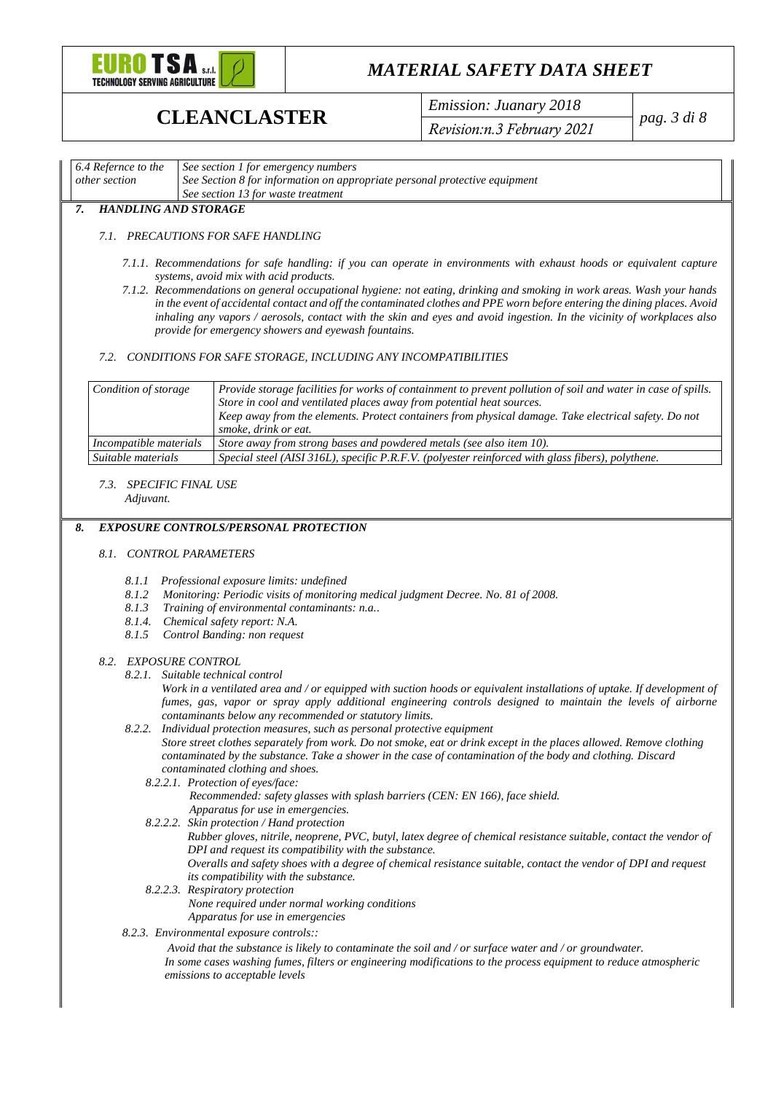

**CLEANCLASTER** *Emission: Juanary 2018 Revision:n.3 February 2021*

*pag. 3 di 8*

#### *6.4 Refernce to the other section See section 1 for emergency numbers See Section 8 for information on appropriate personal protective equipment See section 13 for waste treatment*

### *7. HANDLING AND STORAGE*

### *7.1. PRECAUTIONS FOR SAFE HANDLING*

- *7.1.1. Recommendations for safe handling: if you can operate in environments with exhaust hoods or equivalent capture systems, avoid mix with acid products.*
- *7.1.2. Recommendations on general occupational hygiene: not eating, drinking and smoking in work areas. Wash your hands in the event of accidental contact and off the contaminated clothes and PPE worn before entering the dining places. Avoid inhaling any vapors / aerosols, contact with the skin and eyes and avoid ingestion. In the vicinity of workplaces also provide for emergency showers and eyewash fountains.*

#### *7.2. CONDITIONS FOR SAFE STORAGE, INCLUDING ANY INCOMPATIBILITIES*

| Condition of storage   | Provide storage facilities for works of containment to prevent pollution of soil and water in case of spills.<br>Store in cool and ventilated places away from potential heat sources.<br>Keep away from the elements. Protect containers from physical damage. Take electrical safety. Do not<br>smoke, drink or eat. |
|------------------------|------------------------------------------------------------------------------------------------------------------------------------------------------------------------------------------------------------------------------------------------------------------------------------------------------------------------|
| Incompatible materials | Store away from strong bases and powdered metals (see also item 10).                                                                                                                                                                                                                                                   |
| Suitable materials     | Special steel (AISI 316L), specific P.R.F.V. (polyester reinforced with glass fibers), polythene.                                                                                                                                                                                                                      |

### *7.3. SPECIFIC FINAL USE*

*Adjuvant.*

#### *8. EXPOSURE CONTROLS/PERSONAL PROTECTION*

#### *8.1. CONTROL PARAMETERS*

- *8.1.1 Professional exposure limits: undefined*
- *8.1.2 Monitoring: Periodic visits of monitoring medical judgment Decree. No. 81 of 2008.*
- *8.1.3 Training of environmental contaminants: n.a..*
- *8.1.4. Chemical safety report: N.A.*
- *8.1.5 Control Banding: non request*

#### *8.2. EXPOSURE CONTROL*

*8.2.1. Suitable technical control*

Work in a ventilated area and / or equipped with suction hoods or equivalent installations of uptake. If development of *fumes, gas, vapor or spray apply additional engineering controls designed to maintain the levels of airborne contaminants below any recommended or statutory limits.*

#### *8.2.2. Individual protection measures, such as personal protective equipment*

*Store street clothes separately from work. Do not smoke, eat or drink except in the places allowed. Remove clothing contaminated by the substance. Take a shower in the case of contamination of the body and clothing. Discard contaminated clothing and shoes.*

- *8.2.2.1. Protection of eyes/face: Recommended: safety glasses with splash barriers (CEN: EN 166), face shield. Apparatus for use in emergencies.*
- *8.2.2.2. Skin protection / Hand protection Rubber gloves, nitrile, neoprene, PVC, butyl, latex degree of chemical resistance suitable, contact the vendor of DPI and request its compatibility with the substance. Overalls and safety shoes with a degree of chemical resistance suitable, contact the vendor of DPI and request its compatibility with the substance.*
- *8.2.2.3. Respiratory protection None required under normal working conditions Apparatus for use in emergencies*
- *8.2.3. Environmental exposure controls::*

*Avoid that the substance is likely to contaminate the soil and / or surface water and / or groundwater. In some cases washing fumes, filters or engineering modifications to the process equipment to reduce atmospheric emissions to acceptable levels*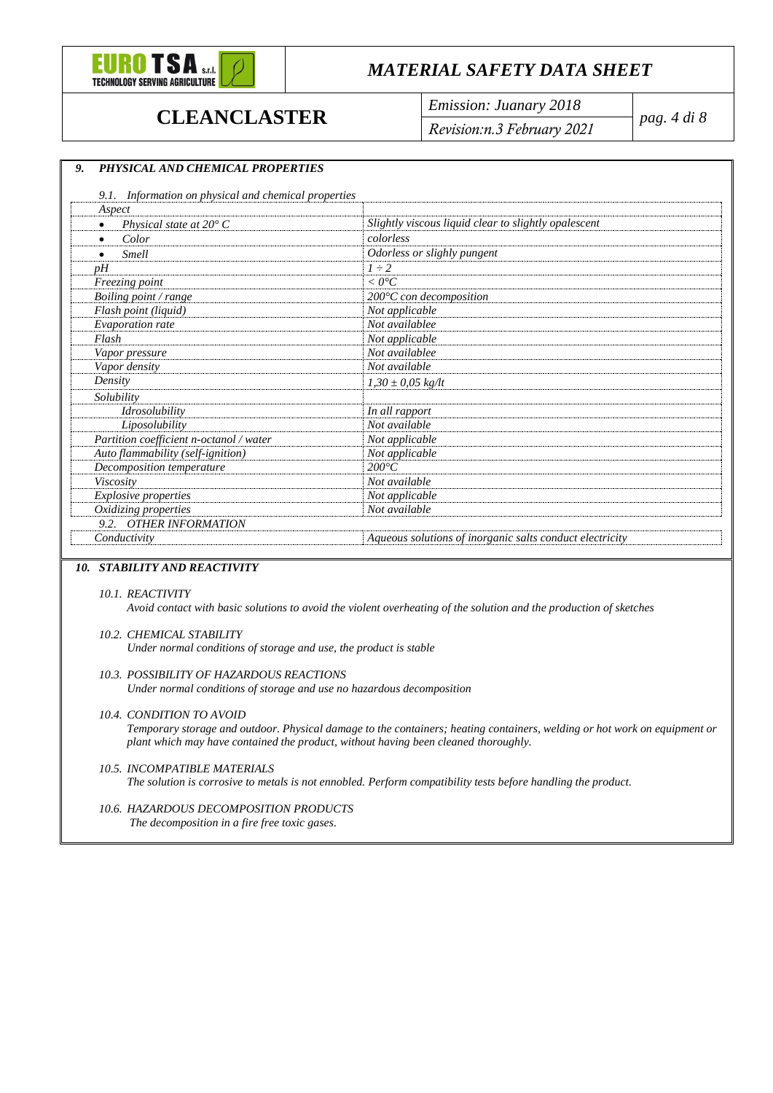

**CLEANCLASTER** *Emission: Juanary 2018 Revision:n.3 February 2021*

*pag. 4 di 8*

### *9. PHYSICAL AND CHEMICAL PROPERTIES*

| Aspect                                  |                                                          |
|-----------------------------------------|----------------------------------------------------------|
| Physical state at $20^{\circ}$ C        | Slightly viscous liquid clear to slightly opalescent     |
| Color                                   | colorless                                                |
| <b>Smell</b>                            | Odorless or slighly pungent                              |
| $\n  p$ H                               | $1 \div 2$                                               |
| Freezing point                          | $< 0^{\circ}C$                                           |
| Boiling point / range                   | $200^{\circ}$ C con decomposition                        |
| Flash point (liquid)                    | Not applicable                                           |
| Evaporation rate                        | Not availablee                                           |
| Flash                                   | Not applicable                                           |
| Vapor pressure                          | Not availablee                                           |
| Vapor density                           | Not available                                            |
| Density                                 | $1,30 \pm 0,05$ kg/lt                                    |
| Solubility                              |                                                          |
| <i>Idrosolubility</i>                   | In all rapport                                           |
| Liposolubility                          | Not available                                            |
| Partition coefficient n-octanol / water | Not applicable                                           |
| Auto flammability (self-ignition)       | Not applicable                                           |
| Decomposition temperature               | $200^{\circ}C$                                           |
| Viscosity                               | Not available                                            |
| <b>Explosive properties</b>             | Not applicable                                           |
| Oxidizing properties                    | Not available                                            |
| 9.2. OTHER INFORMATION                  |                                                          |
| Conductivity                            | Aqueous solutions of inorganic salts conduct electricity |

### *10. STABILITY AND REACTIVITY*

#### *10.1. REACTIVITY*

*Avoid contact with basic solutions to avoid the violent overheating of the solution and the production of sketches*

#### *10.2. CHEMICAL STABILITY*

*Under normal conditions of storage and use, the product is stable*

#### *10.3. POSSIBILITY OF HAZARDOUS REACTIONS*

*Under normal conditions of storage and use no hazardous decomposition*

#### *10.4. CONDITION TO AVOID*

*Temporary storage and outdoor. Physical damage to the containers; heating containers, welding or hot work on equipment or plant which may have contained the product, without having been cleaned thoroughly.*

#### *10.5. INCOMPATIBLE MATERIALS*

*The solution is corrosive to metals is not ennobled. Perform compatibility tests before handling the product.*

#### *10.6. HAZARDOUS DECOMPOSITION PRODUCTS The decomposition in a fire free toxic gases.*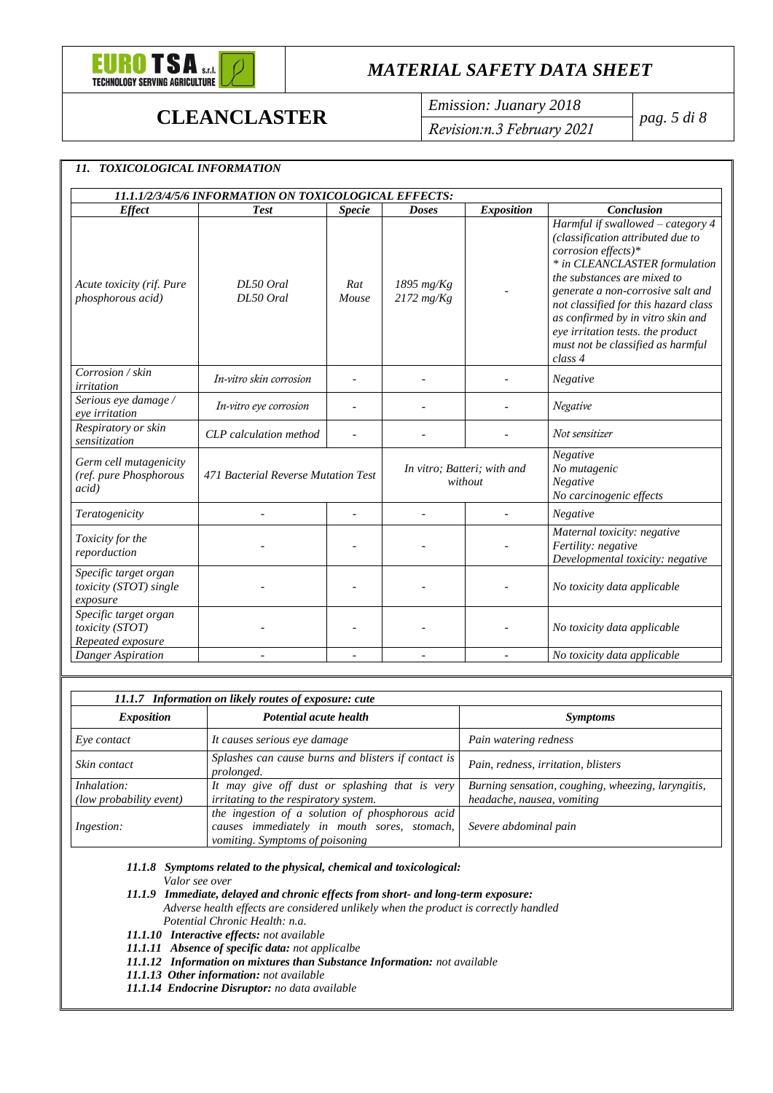

*11. TOXICOLOGICAL INFORMATION*

## *MATERIAL SAFETY DATA SHEET*

**CLEANCLASTER** *Emission: Juanary 2018 Revision:n.3 February 2021*

*pag. 5 di 8*

| <b>Effect</b>                                                     | <b>Test</b>                         | <b>Specie</b> | <b>Doses</b>                           | <b>Exposition</b> | <b>Conclusion</b>                                                                                                                                                                                                                                                                                                                                                    |
|-------------------------------------------------------------------|-------------------------------------|---------------|----------------------------------------|-------------------|----------------------------------------------------------------------------------------------------------------------------------------------------------------------------------------------------------------------------------------------------------------------------------------------------------------------------------------------------------------------|
| Acute toxicity (rif. Pure<br><i>phosphorous acid</i> )            | DL50 Oral<br>DL50 Oral              | Rat<br>Mouse  | $1895$ mg/Kg<br>$2172$ mg/Kg           |                   | Harmful if swallowed - category 4<br>(classification attributed due to<br>corrosion effects)*<br>* in CLEANCLASTER formulation<br>the substances are mixed to<br>generate a non-corrosive salt and<br>not classified for this hazard class<br>as confirmed by in vitro skin and<br>eye irritation tests. the product<br>must not be classified as harmful<br>class 4 |
| Corrosion / skin<br>irritation                                    | In-vitro skin corrosion             |               |                                        |                   | Negative                                                                                                                                                                                                                                                                                                                                                             |
| Serious eye damage /<br>eve irritation                            | In-vitro eye corrosion              |               |                                        |                   | Negative                                                                                                                                                                                                                                                                                                                                                             |
| Respiratory or skin<br>sensitization                              | CLP calculation method              |               |                                        |                   | Not sensitizer                                                                                                                                                                                                                                                                                                                                                       |
| Germ cell mutagenicity<br>(ref. pure Phosphorous<br><i>acid</i> ) | 471 Bacterial Reverse Mutation Test |               | In vitro; Batteri; with and<br>without |                   | Negative<br>No mutagenic<br>Negative<br>No carcinogenic effects                                                                                                                                                                                                                                                                                                      |
| Teratogenicity                                                    |                                     |               |                                        |                   | Negative                                                                                                                                                                                                                                                                                                                                                             |
| Toxicity for the<br>reporduction                                  |                                     |               |                                        |                   | Maternal toxicity: negative<br>Fertility: negative<br>Developmental toxicity: negative                                                                                                                                                                                                                                                                               |
| Specific target organ<br>toxicity (STOT) single<br>exposure       |                                     |               |                                        |                   | No toxicity data applicable                                                                                                                                                                                                                                                                                                                                          |
| Specific target organ<br>toxicity (STOT)<br>Repeated exposure     |                                     |               |                                        |                   | No toxicity data applicable                                                                                                                                                                                                                                                                                                                                          |
| Danger Aspiration                                                 | $\overline{\phantom{a}}$            |               |                                        |                   | No toxicity data applicable                                                                                                                                                                                                                                                                                                                                          |

| 11.1.7 Information on likely routes of exposure: cute |                                                                   |                                                    |  |  |
|-------------------------------------------------------|-------------------------------------------------------------------|----------------------------------------------------|--|--|
| <i>Exposition</i>                                     | Potential acute health                                            | <i>Symptoms</i>                                    |  |  |
| Eye contact                                           | It causes serious eye damage                                      | Pain watering redness                              |  |  |
| Skin contact                                          | Splashes can cause burns and blisters if contact is<br>prolonged. | Pain, redness, irritation, blisters                |  |  |
| Inhalation:                                           | It may give off dust or splashing that is very                    | Burning sensation, coughing, wheezing, laryngitis, |  |  |
| (low probability event)                               | irritating to the respiratory system.                             | headache, nausea, vomiting                         |  |  |
|                                                       | the ingestion of a solution of phosphorous acid                   |                                                    |  |  |
| Ingestion:                                            | causes immediately in mouth sores, stomach,                       | Severe abdominal pain                              |  |  |
|                                                       | vomiting. Symptoms of poisoning                                   |                                                    |  |  |

*11.1.8 Symptoms related to the physical, chemical and toxicological: Valor see over*

- *11.1.9 Immediate, delayed and chronic effects from short- and long-term exposure: Adverse health effects are considered unlikely when the product is correctly handled Potential Chronic Health: n.a.*
- *11.1.10 Interactive effects: not available*
- *11.1.11 Absence of specific data: not applicalbe*
- *11.1.12 Information on mixtures than Substance Information: not available*
- *11.1.13 Other information: not available*
- *11.1.14 Endocrine Disruptor: no data available*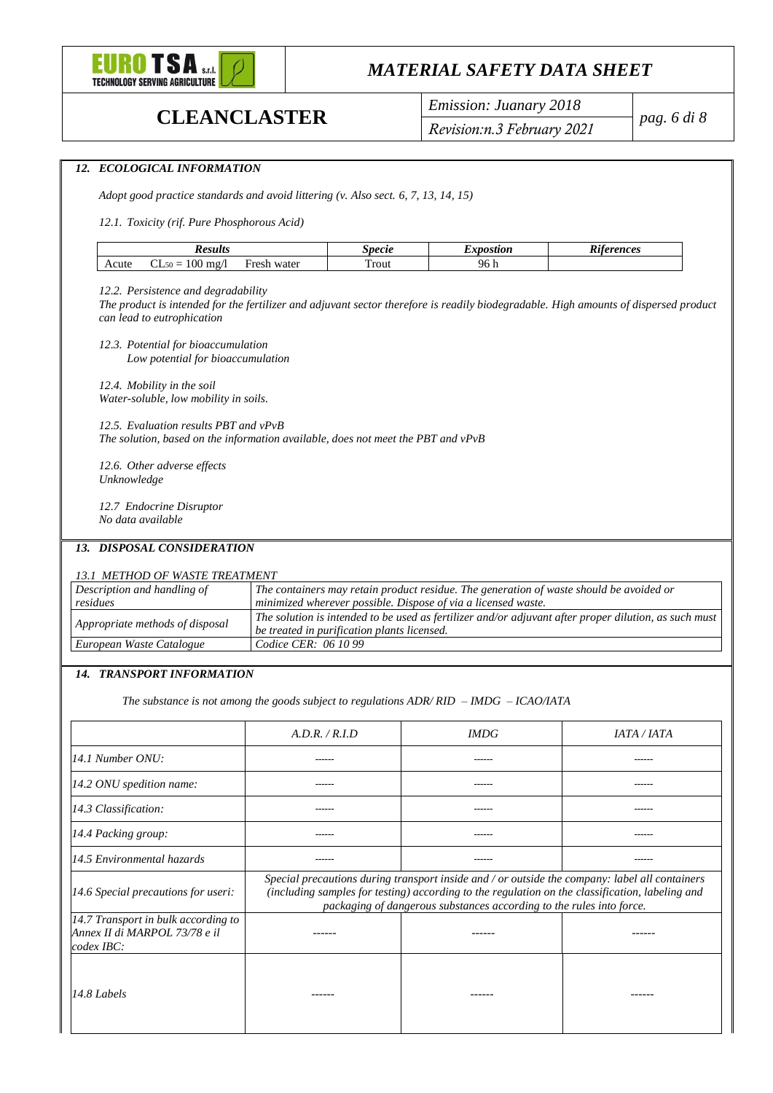

*12. ECOLOGICAL INFORMATION*

## *MATERIAL SAFETY DATA SHEET*

**CLEANCLASTER** *Emission: Juanary 2018 Revision:n.3 February 2021*

*pag. 6 di 8*

| <b>Results</b>                                                                                                                                                                                                                                   |                                                                                                                                                      | <b>Specie</b> | <b>Expostion</b> | <b>Riferences</b>                                                                                                                                                                                                                                                         |  |
|--------------------------------------------------------------------------------------------------------------------------------------------------------------------------------------------------------------------------------------------------|------------------------------------------------------------------------------------------------------------------------------------------------------|---------------|------------------|---------------------------------------------------------------------------------------------------------------------------------------------------------------------------------------------------------------------------------------------------------------------------|--|
| $CL_{50} = 100$ mg/l<br>Acute                                                                                                                                                                                                                    | Fresh water                                                                                                                                          | Trout         | 96 h             |                                                                                                                                                                                                                                                                           |  |
| 12.2. Persistence and degradability<br>The product is intended for the fertilizer and adjuvant sector therefore is readily biodegradable. High amounts of dispersed product<br>can lead to eutrophication<br>12.3. Potential for bioaccumulation |                                                                                                                                                      |               |                  |                                                                                                                                                                                                                                                                           |  |
| Low potential for bioaccumulation<br>12.4. Mobility in the soil<br>Water-soluble, low mobility in soils.                                                                                                                                         |                                                                                                                                                      |               |                  |                                                                                                                                                                                                                                                                           |  |
| 12.5. Evaluation results PBT and vPvB<br>The solution, based on the information available, does not meet the PBT and vPvB                                                                                                                        |                                                                                                                                                      |               |                  |                                                                                                                                                                                                                                                                           |  |
| 12.6. Other adverse effects<br>Unknowledge                                                                                                                                                                                                       |                                                                                                                                                      |               |                  |                                                                                                                                                                                                                                                                           |  |
| 12.7 Endocrine Disruptor<br>No data available                                                                                                                                                                                                    |                                                                                                                                                      |               |                  |                                                                                                                                                                                                                                                                           |  |
| 13. DISPOSAL CONSIDERATION                                                                                                                                                                                                                       |                                                                                                                                                      |               |                  |                                                                                                                                                                                                                                                                           |  |
| 13.1 METHOD OF WASTE TREATMENT                                                                                                                                                                                                                   |                                                                                                                                                      |               |                  |                                                                                                                                                                                                                                                                           |  |
| Description and handling of<br>residues                                                                                                                                                                                                          | minimized wherever possible. Dispose of via a licensed waste.                                                                                        |               |                  | The containers may retain product residue. The generation of waste should be avoided or                                                                                                                                                                                   |  |
| Appropriate methods of disposal                                                                                                                                                                                                                  | The solution is intended to be used as fertilizer and/or adjuvant after proper dilution, as such must<br>be treated in purification plants licensed. |               |                  |                                                                                                                                                                                                                                                                           |  |
| European Waste Catalogue                                                                                                                                                                                                                         | Codice CER: 06 10 99                                                                                                                                 |               |                  |                                                                                                                                                                                                                                                                           |  |
| 14. TRANSPORT INFORMATION                                                                                                                                                                                                                        |                                                                                                                                                      |               |                  |                                                                                                                                                                                                                                                                           |  |
|                                                                                                                                                                                                                                                  | The substance is not among the goods subject to regulations $ADR/RID - IMDG - ICAO/ATA$                                                              |               |                  |                                                                                                                                                                                                                                                                           |  |
|                                                                                                                                                                                                                                                  | A.D.R. / R.I.D                                                                                                                                       |               | <b>IMDG</b>      | IATA / IATA                                                                                                                                                                                                                                                               |  |
| 14.1 Number ONU:                                                                                                                                                                                                                                 |                                                                                                                                                      |               | ------           | ------                                                                                                                                                                                                                                                                    |  |
| 14.2 ONU spedition name:                                                                                                                                                                                                                         |                                                                                                                                                      |               |                  |                                                                                                                                                                                                                                                                           |  |
| 14.3 Classification:                                                                                                                                                                                                                             |                                                                                                                                                      |               |                  |                                                                                                                                                                                                                                                                           |  |
| 14.4 Packing group:                                                                                                                                                                                                                              |                                                                                                                                                      |               |                  |                                                                                                                                                                                                                                                                           |  |
| 14.5 Environmental hazards                                                                                                                                                                                                                       |                                                                                                                                                      |               |                  |                                                                                                                                                                                                                                                                           |  |
|                                                                                                                                                                                                                                                  |                                                                                                                                                      |               |                  | Special precautions during transport inside and / or outside the company: label all containers<br>(including samples for testing) according to the regulation on the classification, labeling and<br>packaging of dangerous substances according to the rules into force. |  |
| 14.6 Special precautions for useri:                                                                                                                                                                                                              |                                                                                                                                                      |               |                  |                                                                                                                                                                                                                                                                           |  |
| 14.7 Transport in bulk according to<br>Annex II di MARPOL 73/78 e il<br>codex IBC:                                                                                                                                                               | ------                                                                                                                                               |               |                  | ------                                                                                                                                                                                                                                                                    |  |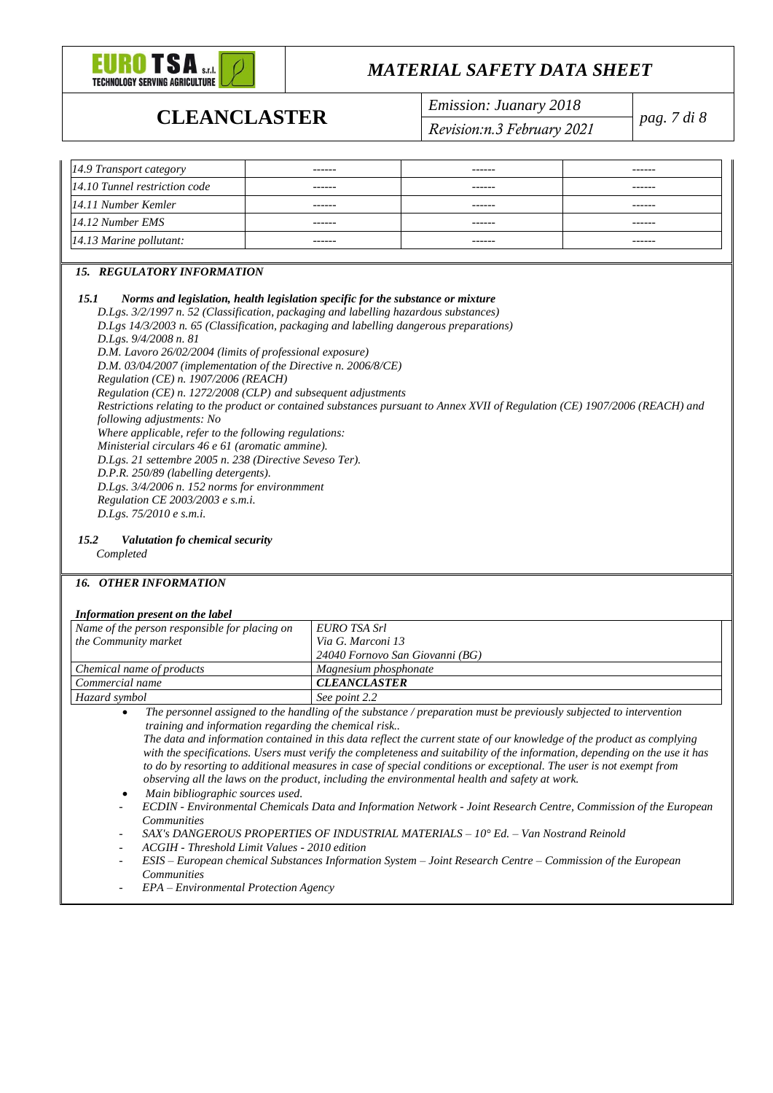

**CLEANCLASTER** *Emission: Juanary 2018 Revision:n.3 February 2021*

*pag. 7 di 8*

| 14.9 Transport category       | ------ | ------ | ------ |
|-------------------------------|--------|--------|--------|
| 14.10 Tunnel restriction code | ------ | ------ | ------ |
| 14.11 Number Kemler           | ------ | ------ | ------ |
| 14.12 Number EMS              | ------ | ------ | ------ |
| 14.13 Marine pollutant:       | ------ | ------ | ------ |

### *15. REGULATORY INFORMATION*

#### *15.1 Norms and legislation, health legislation specific for the substance or mixture*

*D.Lgs. 3/2/1997 n. 52 (Classification, packaging and labelling hazardous substances) D.Lgs 14/3/2003 n. 65 (Classification, packaging and labelling dangerous preparations) D.Lgs. 9/4/2008 n. 81 D.M. Lavoro 26/02/2004 (limits of professional exposure) D.M. 03/04/2007 (implementation of the Directive n. 2006/8/CE) Regulation (CE) n. 1907/2006 (REACH) Regulation (CE) n. 1272/2008 (CLP) and subsequent adjustments Restrictions relating to the product or contained substances pursuant to Annex XVII of Regulation (CE) 1907/2006 (REACH) and following adjustments: No Where applicable, refer to the following regulations: Ministerial circulars 46 e 61 (aromatic ammine). D.Lgs. 21 settembre 2005 n. 238 (Directive Seveso Ter). D.P.R. 250/89 (labelling detergents). D.Lgs. 3/4/2006 n. 152 norms for environmment Regulation CE 2003/2003 e s.m.i. D.Lgs. 75/2010 e s.m.i.* 

#### *15.2 Valutation fo chemical security*

*Completed*

#### *16. OTHER INFORMATION*

#### *Information present on the label*

| - Into multon bresent on the tubel            |                                 |
|-----------------------------------------------|---------------------------------|
| Name of the person responsible for placing on | EURO TSA Srl                    |
| the Community market                          | Via G. Marconi 13               |
|                                               | 24040 Fornovo San Giovanni (BG) |
| Chemical name of products                     | Magnesium phosphonate           |
| Commercial name                               | <b>CLEANCLASTER</b>             |
| Hazard symbol                                 | See point 2.2                   |

• *The personnel assigned to the handling of the substance / preparation must be previously subjected to intervention training and information regarding the chemical risk..*

*The data and information contained in this data reflect the current state of our knowledge of the product as complying with the specifications. Users must verify the completeness and suitability of the information, depending on the use it has to do by resorting to additional measures in case of special conditions or exceptional. The user is not exempt from observing all the laws on the product, including the environmental health and safety at work.*

- *Main bibliographic sources used.*
- *ECDIN - Environmental Chemicals Data and Information Network - Joint Research Centre, Commission of the European Communities*
- *SAX's DANGEROUS PROPERTIES OF INDUSTRIAL MATERIALS – 10° Ed. – Van Nostrand Reinold*
- *ACGIH - Threshold Limit Values - 2010 edition*
- *ESIS – European chemical Substances Information System – Joint Research Centre – Commission of the European Communities*
- *EPA – Environmental Protection Agency*